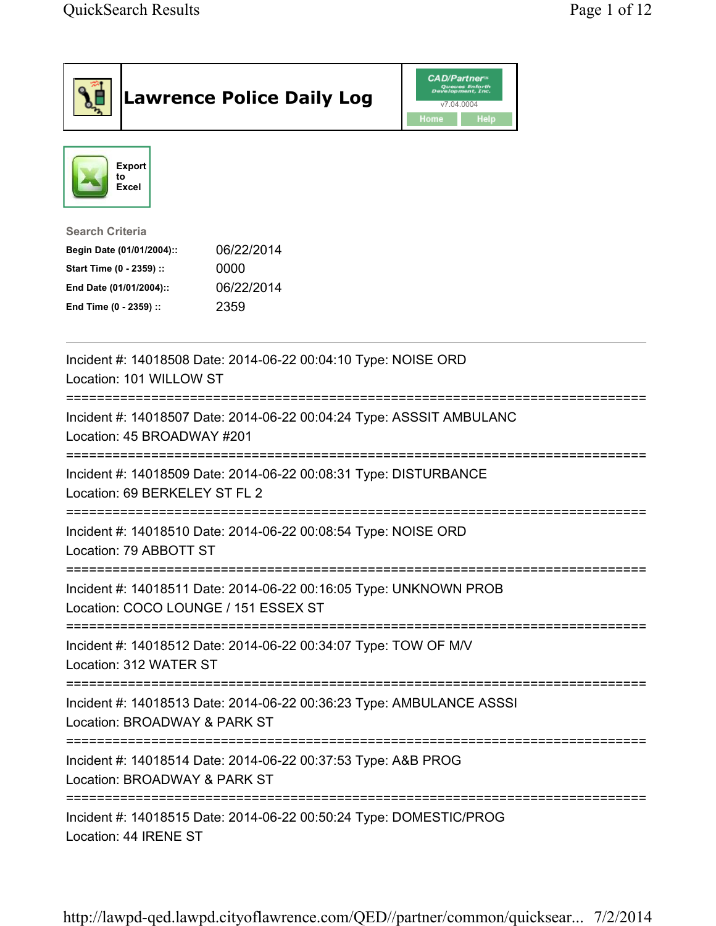|                                                                                                                                      | <b>Lawrence Police Daily Log</b>                                     | <b>CAD/Partner</b> ®<br>Queues Enforth<br>Development, Inc.<br>v7.04.0004<br>Home<br><b>Help</b> |  |
|--------------------------------------------------------------------------------------------------------------------------------------|----------------------------------------------------------------------|--------------------------------------------------------------------------------------------------|--|
| <b>Export</b><br>to<br><b>Excel</b>                                                                                                  |                                                                      |                                                                                                  |  |
| <b>Search Criteria</b><br>Begin Date (01/01/2004)::<br>Start Time (0 - 2359) ::<br>End Date (01/01/2004)::<br>End Time (0 - 2359) :: | 06/22/2014<br>0000<br>06/22/2014<br>2359                             |                                                                                                  |  |
| Location: 101 WILLOW ST                                                                                                              | Incident #: 14018508 Date: 2014-06-22 00:04:10 Type: NOISE ORD       |                                                                                                  |  |
| Location: 45 BROADWAY #201                                                                                                           | Incident #: 14018507 Date: 2014-06-22 00:04:24 Type: ASSSIT AMBULANC |                                                                                                  |  |
| Location: 69 BERKELEY ST FL 2                                                                                                        | Incident #: 14018509 Date: 2014-06-22 00:08:31 Type: DISTURBANCE     |                                                                                                  |  |
| Location: 79 ABBOTT ST                                                                                                               | Incident #: 14018510 Date: 2014-06-22 00:08:54 Type: NOISE ORD       |                                                                                                  |  |
| Location: COCO LOUNGE / 151 ESSEX ST                                                                                                 | Incident #: 14018511 Date: 2014-06-22 00:16:05 Type: UNKNOWN PROB    |                                                                                                  |  |
| ;=================================<br>Location: 312 WATER ST                                                                         | Incident #: 14018512 Date: 2014-06-22 00:34:07 Type: TOW OF M/V      |                                                                                                  |  |
| Location: BROADWAY & PARK ST                                                                                                         | Incident #: 14018513 Date: 2014-06-22 00:36:23 Type: AMBULANCE ASSSI |                                                                                                  |  |
| Location: BROADWAY & PARK ST                                                                                                         | Incident #: 14018514 Date: 2014-06-22 00:37:53 Type: A&B PROG        |                                                                                                  |  |
| Location: 44 IRENE ST                                                                                                                | Incident #: 14018515 Date: 2014-06-22 00:50:24 Type: DOMESTIC/PROG   |                                                                                                  |  |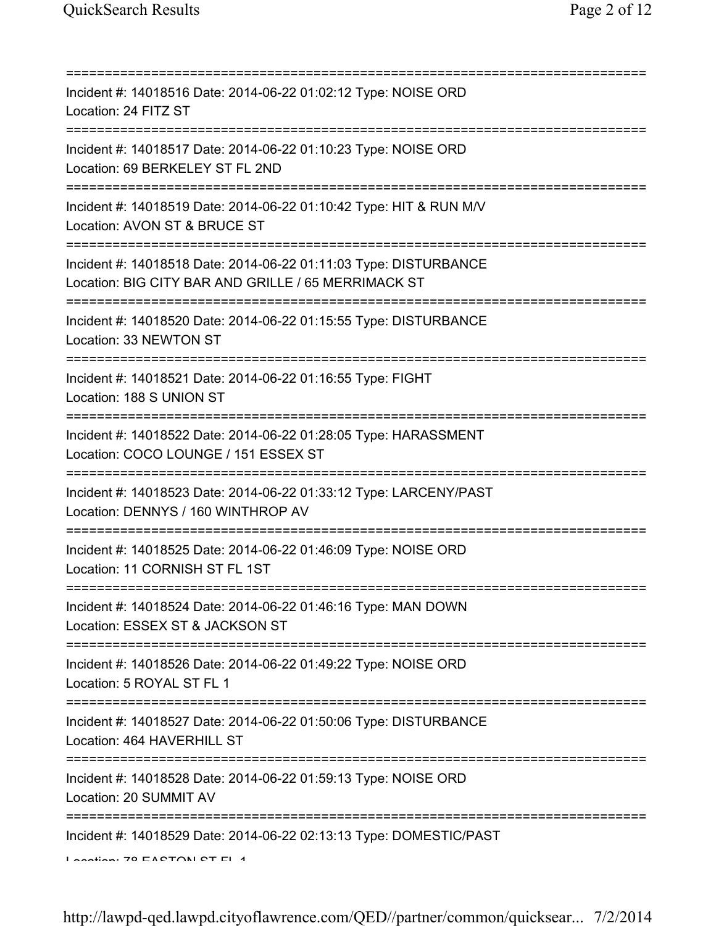| ==========================<br>==============================                                                                                                                                                                                                                                                                                                                                             |
|----------------------------------------------------------------------------------------------------------------------------------------------------------------------------------------------------------------------------------------------------------------------------------------------------------------------------------------------------------------------------------------------------------|
| Incident #: 14018516 Date: 2014-06-22 01:02:12 Type: NOISE ORD<br>Location: 24 FITZ ST                                                                                                                                                                                                                                                                                                                   |
| Incident #: 14018517 Date: 2014-06-22 01:10:23 Type: NOISE ORD<br>Location: 69 BERKELEY ST FL 2ND<br>=====================                                                                                                                                                                                                                                                                               |
| Incident #: 14018519 Date: 2014-06-22 01:10:42 Type: HIT & RUN M/V<br>Location: AVON ST & BRUCE ST                                                                                                                                                                                                                                                                                                       |
| Incident #: 14018518 Date: 2014-06-22 01:11:03 Type: DISTURBANCE<br>Location: BIG CITY BAR AND GRILLE / 65 MERRIMACK ST                                                                                                                                                                                                                                                                                  |
| Incident #: 14018520 Date: 2014-06-22 01:15:55 Type: DISTURBANCE<br>Location: 33 NEWTON ST<br>;===============================                                                                                                                                                                                                                                                                           |
| Incident #: 14018521 Date: 2014-06-22 01:16:55 Type: FIGHT<br>Location: 188 S UNION ST                                                                                                                                                                                                                                                                                                                   |
| Incident #: 14018522 Date: 2014-06-22 01:28:05 Type: HARASSMENT<br>Location: COCO LOUNGE / 151 ESSEX ST                                                                                                                                                                                                                                                                                                  |
| Incident #: 14018523 Date: 2014-06-22 01:33:12 Type: LARCENY/PAST<br>Location: DENNYS / 160 WINTHROP AV                                                                                                                                                                                                                                                                                                  |
| Incident #: 14018525 Date: 2014-06-22 01:46:09 Type: NOISE ORD<br>Location: 11 CORNISH ST FL 1ST                                                                                                                                                                                                                                                                                                         |
| Incident #: 14018524 Date: 2014-06-22 01:46:16 Type: MAN DOWN<br>Location: ESSEX ST & JACKSON ST                                                                                                                                                                                                                                                                                                         |
| ============================<br>Incident #: 14018526 Date: 2014-06-22 01:49:22 Type: NOISE ORD<br>Location: 5 ROYAL ST FL 1                                                                                                                                                                                                                                                                              |
| Incident #: 14018527 Date: 2014-06-22 01:50:06 Type: DISTURBANCE<br>Location: 464 HAVERHILL ST                                                                                                                                                                                                                                                                                                           |
| Incident #: 14018528 Date: 2014-06-22 01:59:13 Type: NOISE ORD<br>Location: 20 SUMMIT AV                                                                                                                                                                                                                                                                                                                 |
| Incident #: 14018529 Date: 2014-06-22 02:13:13 Type: DOMESTIC/PAST<br>$\overline{a}$ and $\overline{a}$ and $\overline{a}$ and $\overline{a}$ and $\overline{a}$ and $\overline{a}$ and $\overline{a}$ and $\overline{a}$ and $\overline{a}$ and $\overline{a}$ and $\overline{a}$ and $\overline{a}$ and $\overline{a}$ and $\overline{a}$ and $\overline{a}$ and $\overline{a}$ and $\overline{a}$ and |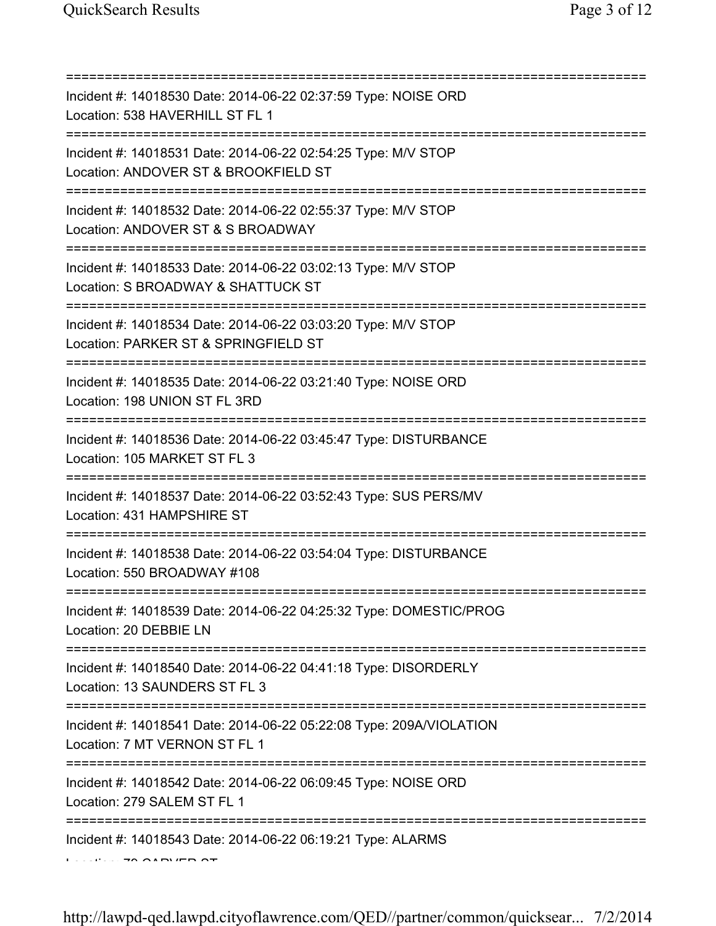| Incident #: 14018530 Date: 2014-06-22 02:37:59 Type: NOISE ORD<br>Location: 538 HAVERHILL ST FL 1<br>===================================== |
|--------------------------------------------------------------------------------------------------------------------------------------------|
| Incident #: 14018531 Date: 2014-06-22 02:54:25 Type: M/V STOP<br>Location: ANDOVER ST & BROOKFIELD ST<br>================================  |
| Incident #: 14018532 Date: 2014-06-22 02:55:37 Type: M/V STOP<br>Location: ANDOVER ST & S BROADWAY                                         |
| Incident #: 14018533 Date: 2014-06-22 03:02:13 Type: M/V STOP<br>Location: S BROADWAY & SHATTUCK ST                                        |
| Incident #: 14018534 Date: 2014-06-22 03:03:20 Type: M/V STOP<br>Location: PARKER ST & SPRINGFIELD ST                                      |
| Incident #: 14018535 Date: 2014-06-22 03:21:40 Type: NOISE ORD<br>Location: 198 UNION ST FL 3RD                                            |
| Incident #: 14018536 Date: 2014-06-22 03:45:47 Type: DISTURBANCE<br>Location: 105 MARKET ST FL 3                                           |
| Incident #: 14018537 Date: 2014-06-22 03:52:43 Type: SUS PERS/MV<br>Location: 431 HAMPSHIRE ST                                             |
| Incident #: 14018538 Date: 2014-06-22 03:54:04 Type: DISTURBANCE<br>Location: 550 BROADWAY #108                                            |
| Incident #: 14018539 Date: 2014-06-22 04:25:32 Type: DOMESTIC/PROG<br>Location: 20 DEBBIE LN                                               |
| Incident #: 14018540 Date: 2014-06-22 04:41:18 Type: DISORDERLY<br>Location: 13 SAUNDERS ST FL 3                                           |
| :==========<br>Incident #: 14018541 Date: 2014-06-22 05:22:08 Type: 209A/VIOLATION<br>Location: 7 MT VERNON ST FL 1                        |
| Incident #: 14018542 Date: 2014-06-22 06:09:45 Type: NOISE ORD<br>Location: 279 SALEM ST FL 1                                              |
| Incident #: 14018543 Date: 2014-06-22 06:19:21 Type: ALARMS                                                                                |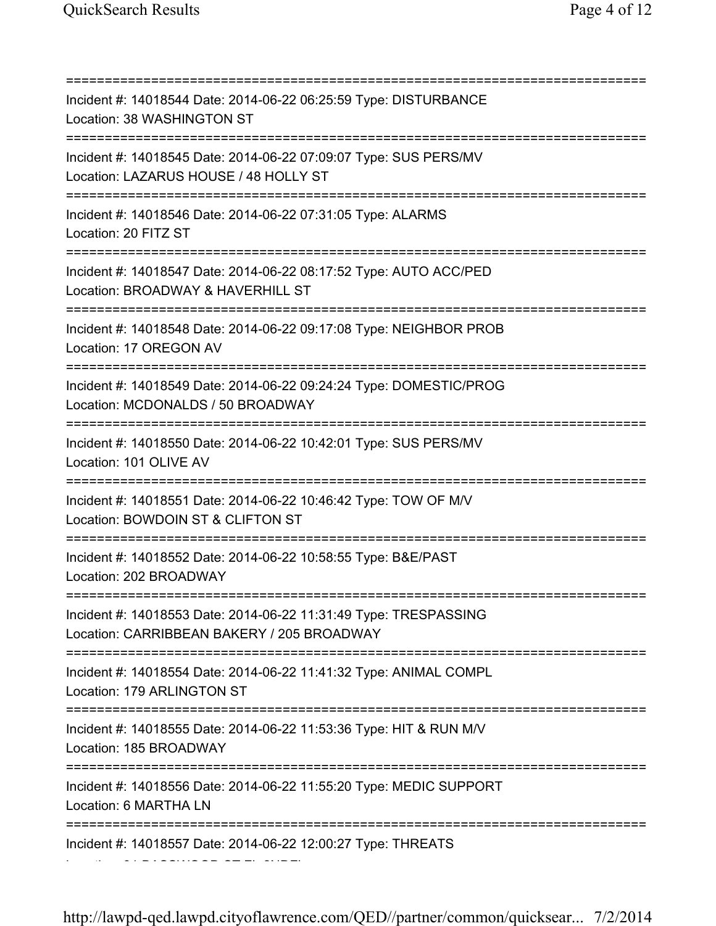=========================================================================== Incident #: 14018544 Date: 2014-06-22 06:25:59 Type: DISTURBANCE Location: 38 WASHINGTON ST =========================================================================== Incident #: 14018545 Date: 2014-06-22 07:09:07 Type: SUS PERS/MV Location: LAZARUS HOUSE / 48 HOLLY ST =========================================================================== Incident #: 14018546 Date: 2014-06-22 07:31:05 Type: ALARMS Location: 20 FITZ ST =========================================================================== Incident #: 14018547 Date: 2014-06-22 08:17:52 Type: AUTO ACC/PED Location: BROADWAY & HAVERHILL ST =========================================================================== Incident #: 14018548 Date: 2014-06-22 09:17:08 Type: NEIGHBOR PROB Location: 17 OREGON AV =========================================================================== Incident #: 14018549 Date: 2014-06-22 09:24:24 Type: DOMESTIC/PROG Location: MCDONALDS / 50 BROADWAY =========================================================================== Incident #: 14018550 Date: 2014-06-22 10:42:01 Type: SUS PERS/MV Location: 101 OLIVE AV =========================================================================== Incident #: 14018551 Date: 2014-06-22 10:46:42 Type: TOW OF M/V Location: BOWDOIN ST & CLIFTON ST =========================================================================== Incident #: 14018552 Date: 2014-06-22 10:58:55 Type: B&E/PAST Location: 202 BROADWAY =========================================================================== Incident #: 14018553 Date: 2014-06-22 11:31:49 Type: TRESPASSING Location: CARRIBBEAN BAKERY / 205 BROADWAY =========================================================================== Incident #: 14018554 Date: 2014-06-22 11:41:32 Type: ANIMAL COMPL Location: 179 ARLINGTON ST =========================================================================== Incident #: 14018555 Date: 2014-06-22 11:53:36 Type: HIT & RUN M/V Location: 185 BROADWAY =========================================================================== Incident #: 14018556 Date: 2014-06-22 11:55:20 Type: MEDIC SUPPORT Location: 6 MARTHA LN =========================================================================== Incident #: 14018557 Date: 2014-06-22 12:00:27 Type: THREATS Location: 31 BASSWOOD ST FL 2NDFL 2NDFL 2NDFL 2NDFL 2NDFL 2NDFL 2NDFL 2NDFL 2NDFL 2NDFL 2NDFL 2NDFL 2NDFL 2NDF<br>English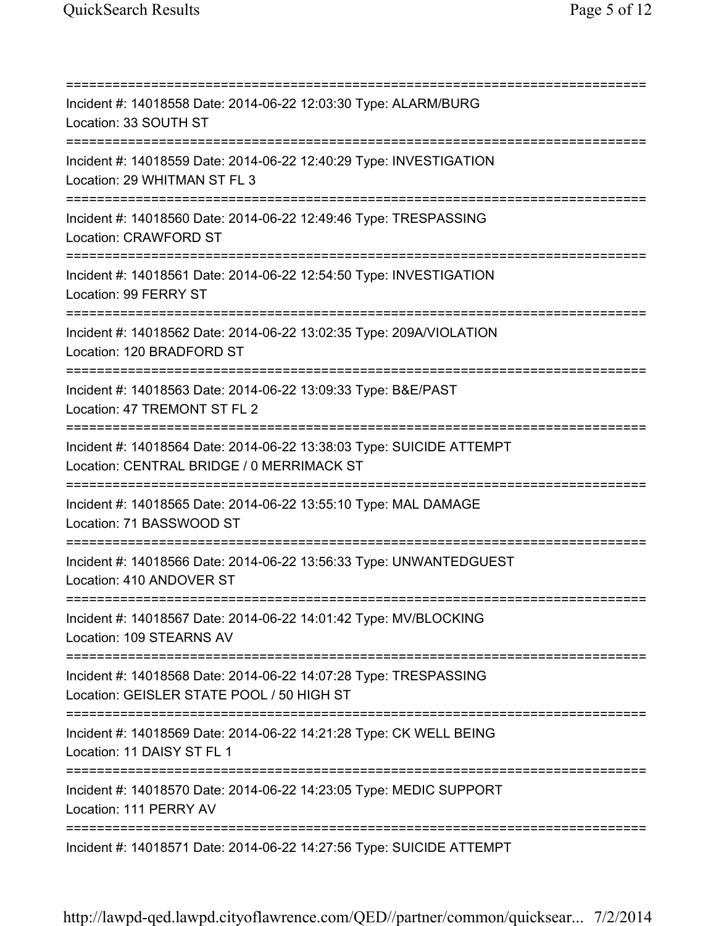=========================================================================== Incident #: 14018558 Date: 2014-06-22 12:03:30 Type: ALARM/BURG Location: 33 SOUTH ST =========================================================================== Incident #: 14018559 Date: 2014-06-22 12:40:29 Type: INVESTIGATION Location: 29 WHITMAN ST FL 3 =========================================================================== Incident #: 14018560 Date: 2014-06-22 12:49:46 Type: TRESPASSING Location: CRAWFORD ST =========================================================================== Incident #: 14018561 Date: 2014-06-22 12:54:50 Type: INVESTIGATION Location: 99 FERRY ST =========================================================================== Incident #: 14018562 Date: 2014-06-22 13:02:35 Type: 209A/VIOLATION Location: 120 BRADFORD ST =========================================================================== Incident #: 14018563 Date: 2014-06-22 13:09:33 Type: B&E/PAST Location: 47 TREMONT ST FL 2 =========================================================================== Incident #: 14018564 Date: 2014-06-22 13:38:03 Type: SUICIDE ATTEMPT Location: CENTRAL BRIDGE / 0 MERRIMACK ST =========================================================================== Incident #: 14018565 Date: 2014-06-22 13:55:10 Type: MAL DAMAGE Location: 71 BASSWOOD ST =========================================================================== Incident #: 14018566 Date: 2014-06-22 13:56:33 Type: UNWANTEDGUEST Location: 410 ANDOVER ST =========================================================================== Incident #: 14018567 Date: 2014-06-22 14:01:42 Type: MV/BLOCKING Location: 109 STEARNS AV =========================================================================== Incident #: 14018568 Date: 2014-06-22 14:07:28 Type: TRESPASSING Location: GEISLER STATE POOL / 50 HIGH ST =========================================================================== Incident #: 14018569 Date: 2014-06-22 14:21:28 Type: CK WELL BEING Location: 11 DAISY ST FL 1 =========================================================================== Incident #: 14018570 Date: 2014-06-22 14:23:05 Type: MEDIC SUPPORT Location: 111 PERRY AV =========================================================================== Incident #: 14018571 Date: 2014-06-22 14:27:56 Type: SUICIDE ATTEMPT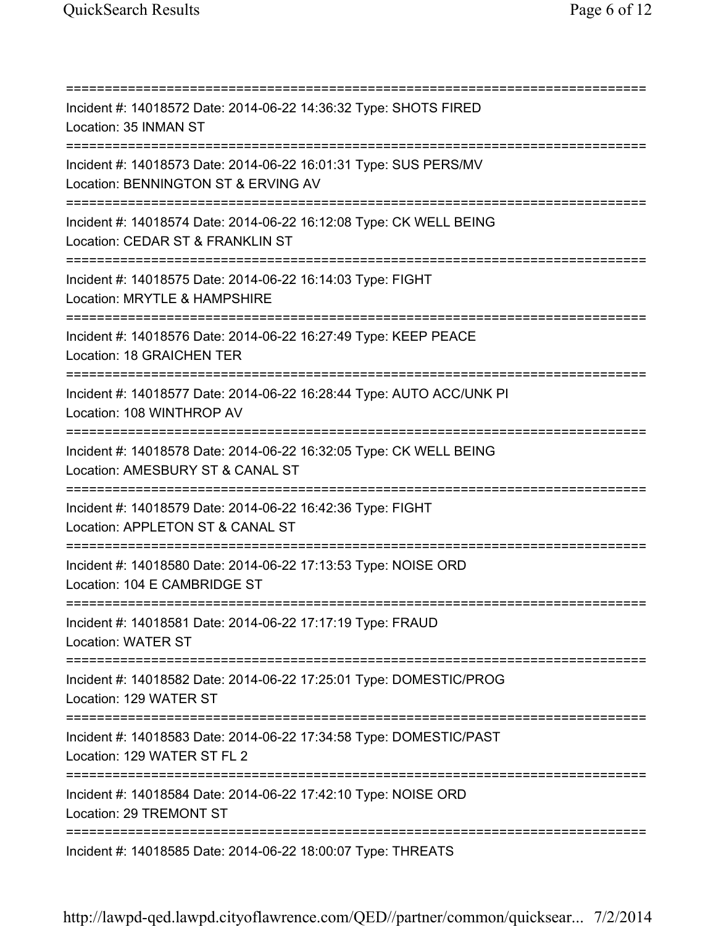=========================================================================== Incident #: 14018572 Date: 2014-06-22 14:36:32 Type: SHOTS FIRED Location: 35 INMAN ST =========================================================================== Incident #: 14018573 Date: 2014-06-22 16:01:31 Type: SUS PERS/MV Location: BENNINGTON ST & ERVING AV =========================================================================== Incident #: 14018574 Date: 2014-06-22 16:12:08 Type: CK WELL BEING Location: CEDAR ST & FRANKLIN ST =========================================================================== Incident #: 14018575 Date: 2014-06-22 16:14:03 Type: FIGHT Location: MRYTLE & HAMPSHIRE =========================================================================== Incident #: 14018576 Date: 2014-06-22 16:27:49 Type: KEEP PEACE Location: 18 GRAICHEN TER =========================================================================== Incident #: 14018577 Date: 2014-06-22 16:28:44 Type: AUTO ACC/UNK PI Location: 108 WINTHROP AV =========================================================================== Incident #: 14018578 Date: 2014-06-22 16:32:05 Type: CK WELL BEING Location: AMESBURY ST & CANAL ST =========================================================================== Incident #: 14018579 Date: 2014-06-22 16:42:36 Type: FIGHT Location: APPLETON ST & CANAL ST =========================================================================== Incident #: 14018580 Date: 2014-06-22 17:13:53 Type: NOISE ORD Location: 104 E CAMBRIDGE ST =========================================================================== Incident #: 14018581 Date: 2014-06-22 17:17:19 Type: FRAUD Location: WATER ST =========================================================================== Incident #: 14018582 Date: 2014-06-22 17:25:01 Type: DOMESTIC/PROG Location: 129 WATER ST =========================================================================== Incident #: 14018583 Date: 2014-06-22 17:34:58 Type: DOMESTIC/PAST Location: 129 WATER ST FL 2 =========================================================================== Incident #: 14018584 Date: 2014-06-22 17:42:10 Type: NOISE ORD Location: 29 TREMONT ST =========================================================================== Incident #: 14018585 Date: 2014-06-22 18:00:07 Type: THREATS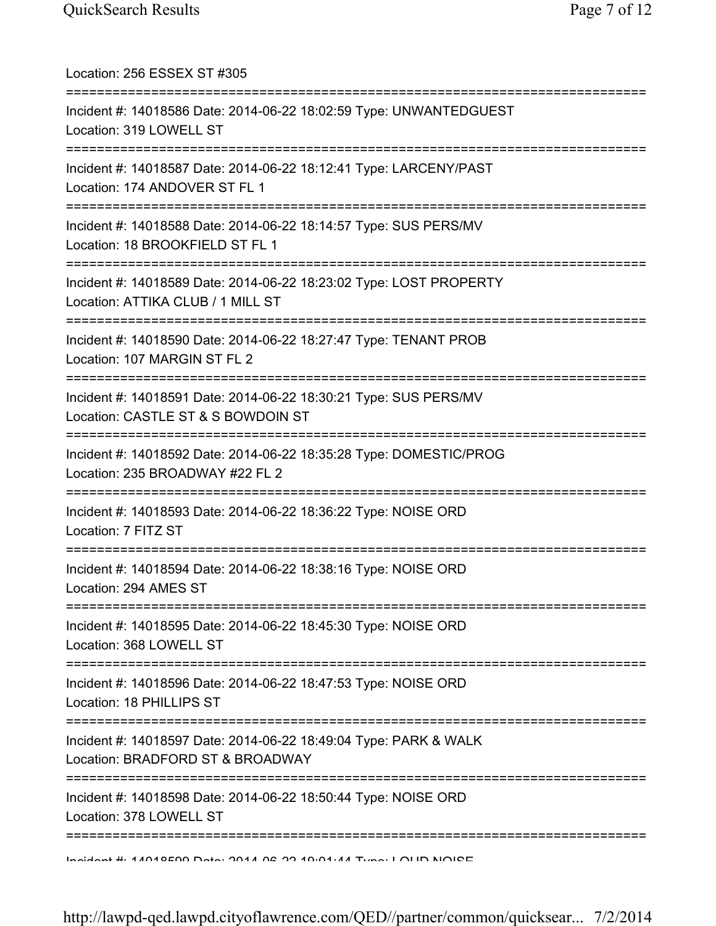| Location: 256 ESSEX ST #305                                                                                                        |
|------------------------------------------------------------------------------------------------------------------------------------|
| Incident #: 14018586 Date: 2014-06-22 18:02:59 Type: UNWANTEDGUEST<br>Location: 319 LOWELL ST                                      |
| Incident #: 14018587 Date: 2014-06-22 18:12:41 Type: LARCENY/PAST<br>Location: 174 ANDOVER ST FL 1                                 |
| Incident #: 14018588 Date: 2014-06-22 18:14:57 Type: SUS PERS/MV<br>Location: 18 BROOKFIELD ST FL 1                                |
| Incident #: 14018589 Date: 2014-06-22 18:23:02 Type: LOST PROPERTY<br>Location: ATTIKA CLUB / 1 MILL ST                            |
| Incident #: 14018590 Date: 2014-06-22 18:27:47 Type: TENANT PROB<br>Location: 107 MARGIN ST FL 2                                   |
| Incident #: 14018591 Date: 2014-06-22 18:30:21 Type: SUS PERS/MV<br>Location: CASTLE ST & S BOWDOIN ST                             |
| =========================<br>Incident #: 14018592 Date: 2014-06-22 18:35:28 Type: DOMESTIC/PROG<br>Location: 235 BROADWAY #22 FL 2 |
| Incident #: 14018593 Date: 2014-06-22 18:36:22 Type: NOISE ORD<br>Location: 7 FITZ ST                                              |
| Incident #: 14018594 Date: 2014-06-22 18:38:16 Type: NOISE ORD<br>Location: 294 AMES ST                                            |
| Incident #: 14018595 Date: 2014-06-22 18:45:30 Type: NOISE ORD<br>Location: 368 LOWELL ST                                          |
| Incident #: 14018596 Date: 2014-06-22 18:47:53 Type: NOISE ORD<br>Location: 18 PHILLIPS ST                                         |
| Incident #: 14018597 Date: 2014-06-22 18:49:04 Type: PARK & WALK<br>Location: BRADFORD ST & BROADWAY                               |
| Incident #: 14018598 Date: 2014-06-22 18:50:44 Type: NOISE ORD<br>Location: 378 LOWELL ST                                          |
| Indidnat #: 11010500 Data: 2011 02 22 10:01:11 Tung: I OLID NIOIDE                                                                 |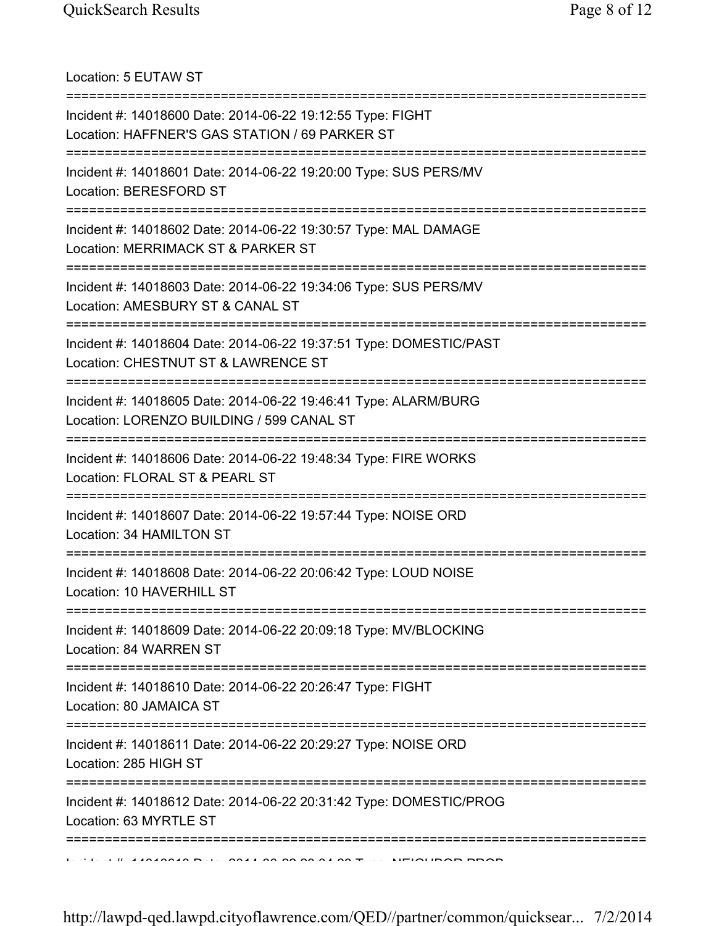Location: 5 EUTAW ST

| Incident #: 14018600 Date: 2014-06-22 19:12:55 Type: FIGHT<br>Location: HAFFNER'S GAS STATION / 69 PARKER ST                            |
|-----------------------------------------------------------------------------------------------------------------------------------------|
| Incident #: 14018601 Date: 2014-06-22 19:20:00 Type: SUS PERS/MV<br>Location: BERESFORD ST                                              |
| Incident #: 14018602 Date: 2014-06-22 19:30:57 Type: MAL DAMAGE<br>Location: MERRIMACK ST & PARKER ST<br>============================== |
| Incident #: 14018603 Date: 2014-06-22 19:34:06 Type: SUS PERS/MV<br>Location: AMESBURY ST & CANAL ST<br>==============================  |
| Incident #: 14018604 Date: 2014-06-22 19:37:51 Type: DOMESTIC/PAST<br>Location: CHESTNUT ST & LAWRENCE ST                               |
| Incident #: 14018605 Date: 2014-06-22 19:46:41 Type: ALARM/BURG<br>Location: LORENZO BUILDING / 599 CANAL ST                            |
| Incident #: 14018606 Date: 2014-06-22 19:48:34 Type: FIRE WORKS<br>Location: FLORAL ST & PEARL ST                                       |
| Incident #: 14018607 Date: 2014-06-22 19:57:44 Type: NOISE ORD<br>Location: 34 HAMILTON ST                                              |
| Incident #: 14018608 Date: 2014-06-22 20:06:42 Type: LOUD NOISE<br>Location: 10 HAVERHILL ST                                            |
| Incident #: 14018609 Date: 2014-06-22 20:09:18 Type: MV/BLOCKING<br>Location: 84 WARREN ST                                              |
| Incident #: 14018610 Date: 2014-06-22 20:26:47 Type: FIGHT<br>Location: 80 JAMAICA ST                                                   |
| Incident #: 14018611 Date: 2014-06-22 20:29:27 Type: NOISE ORD<br>Location: 285 HIGH ST                                                 |
| Incident #: 14018612 Date: 2014-06-22 20:31:42 Type: DOMESTIC/PROG<br>Location: 63 MYRTLE ST                                            |
|                                                                                                                                         |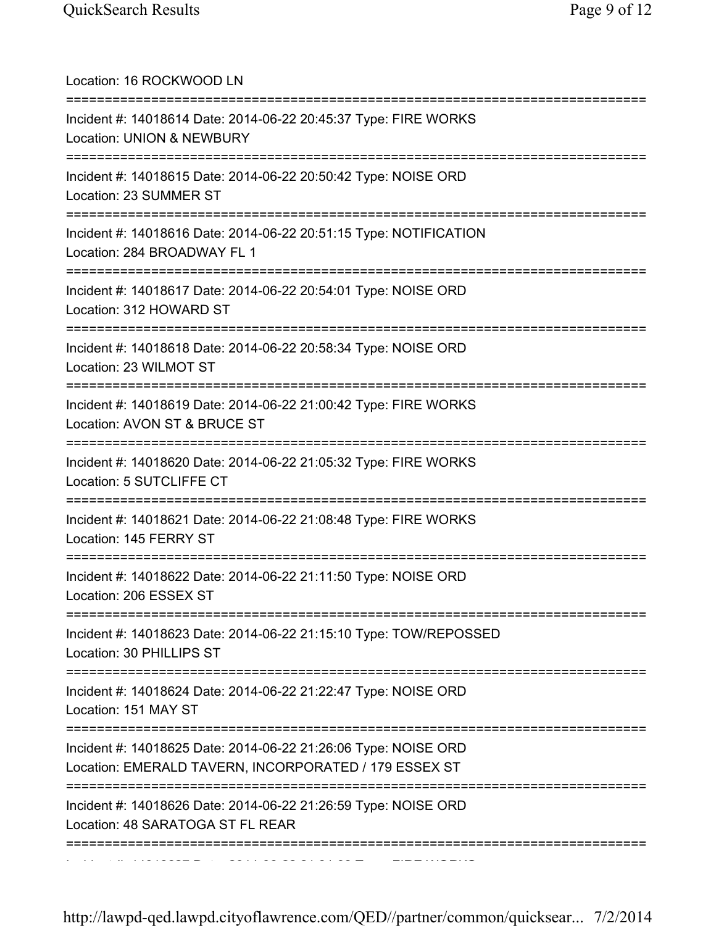| Location: 16 ROCKWOOD LN<br>=====================================                                                           |
|-----------------------------------------------------------------------------------------------------------------------------|
| Incident #: 14018614 Date: 2014-06-22 20:45:37 Type: FIRE WORKS<br>Location: UNION & NEWBURY                                |
| Incident #: 14018615 Date: 2014-06-22 20:50:42 Type: NOISE ORD<br>Location: 23 SUMMER ST                                    |
| Incident #: 14018616 Date: 2014-06-22 20:51:15 Type: NOTIFICATION<br>Location: 284 BROADWAY FL 1<br>==========              |
| Incident #: 14018617 Date: 2014-06-22 20:54:01 Type: NOISE ORD<br>Location: 312 HOWARD ST                                   |
| Incident #: 14018618 Date: 2014-06-22 20:58:34 Type: NOISE ORD<br>Location: 23 WILMOT ST                                    |
| Incident #: 14018619 Date: 2014-06-22 21:00:42 Type: FIRE WORKS<br>Location: AVON ST & BRUCE ST                             |
| Incident #: 14018620 Date: 2014-06-22 21:05:32 Type: FIRE WORKS<br>Location: 5 SUTCLIFFE CT                                 |
| Incident #: 14018621 Date: 2014-06-22 21:08:48 Type: FIRE WORKS<br>Location: 145 FERRY ST                                   |
| Incident #: 14018622 Date: 2014-06-22 21:11:50 Type: NOISE ORD<br>Location: 206 ESSEX ST                                    |
| ==========================<br>Incident #: 14018623 Date: 2014-06-22 21:15:10 Type: TOW/REPOSSED<br>Location: 30 PHILLIPS ST |
| Incident #: 14018624 Date: 2014-06-22 21:22:47 Type: NOISE ORD<br>Location: 151 MAY ST                                      |
| Incident #: 14018625 Date: 2014-06-22 21:26:06 Type: NOISE ORD<br>Location: EMERALD TAVERN, INCORPORATED / 179 ESSEX ST     |
| Incident #: 14018626 Date: 2014-06-22 21:26:59 Type: NOISE ORD<br>Location: 48 SARATOGA ST FL REAR                          |
| :==================                                                                                                         |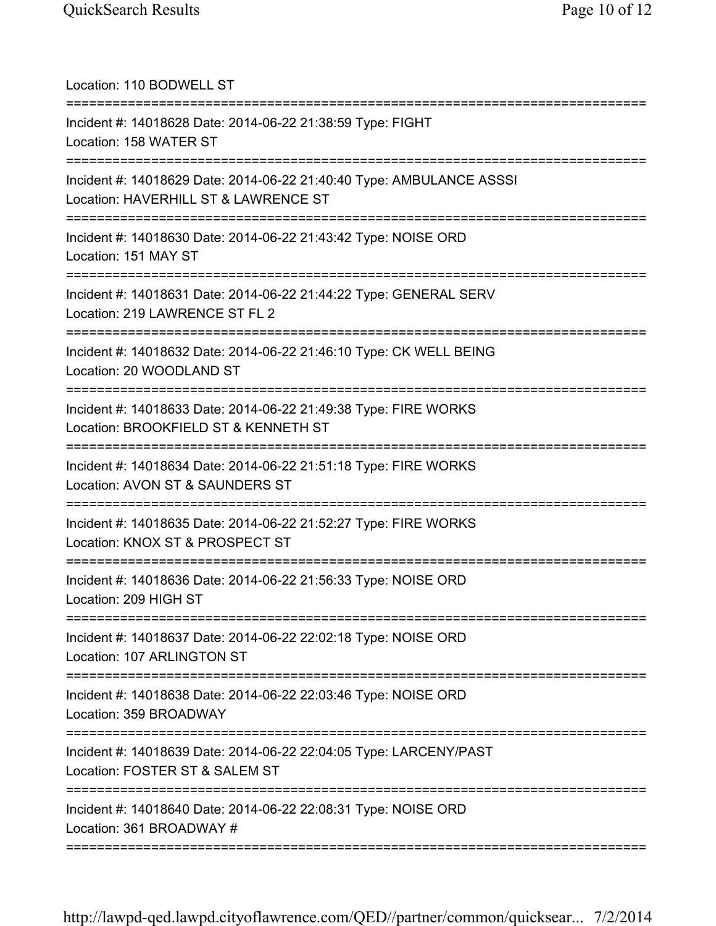| Location: 110 BODWELL ST                                                                                     |
|--------------------------------------------------------------------------------------------------------------|
| Incident #: 14018628 Date: 2014-06-22 21:38:59 Type: FIGHT<br>Location: 158 WATER ST                         |
| Incident #: 14018629 Date: 2014-06-22 21:40:40 Type: AMBULANCE ASSSI<br>Location: HAVERHILL ST & LAWRENCE ST |
| Incident #: 14018630 Date: 2014-06-22 21:43:42 Type: NOISE ORD<br>Location: 151 MAY ST<br>--------------     |
| Incident #: 14018631 Date: 2014-06-22 21:44:22 Type: GENERAL SERV<br>Location: 219 LAWRENCE ST FL 2          |
| Incident #: 14018632 Date: 2014-06-22 21:46:10 Type: CK WELL BEING<br>Location: 20 WOODLAND ST               |
| Incident #: 14018633 Date: 2014-06-22 21:49:38 Type: FIRE WORKS<br>Location: BROOKFIELD ST & KENNETH ST      |
| Incident #: 14018634 Date: 2014-06-22 21:51:18 Type: FIRE WORKS<br>Location: AVON ST & SAUNDERS ST           |
| Incident #: 14018635 Date: 2014-06-22 21:52:27 Type: FIRE WORKS<br>Location: KNOX ST & PROSPECT ST           |
| Incident #: 14018636 Date: 2014-06-22 21:56:33 Type: NOISE ORD<br>Location: 209 HIGH ST                      |
| Incident #: 14018637 Date: 2014-06-22 22:02:18 Type: NOISE ORD<br>Location: 107 ARLINGTON ST                 |
| Incident #: 14018638 Date: 2014-06-22 22:03:46 Type: NOISE ORD<br>Location: 359 BROADWAY                     |
| Incident #: 14018639 Date: 2014-06-22 22:04:05 Type: LARCENY/PAST<br>Location: FOSTER ST & SALEM ST          |
| Incident #: 14018640 Date: 2014-06-22 22:08:31 Type: NOISE ORD<br>Location: 361 BROADWAY #                   |
|                                                                                                              |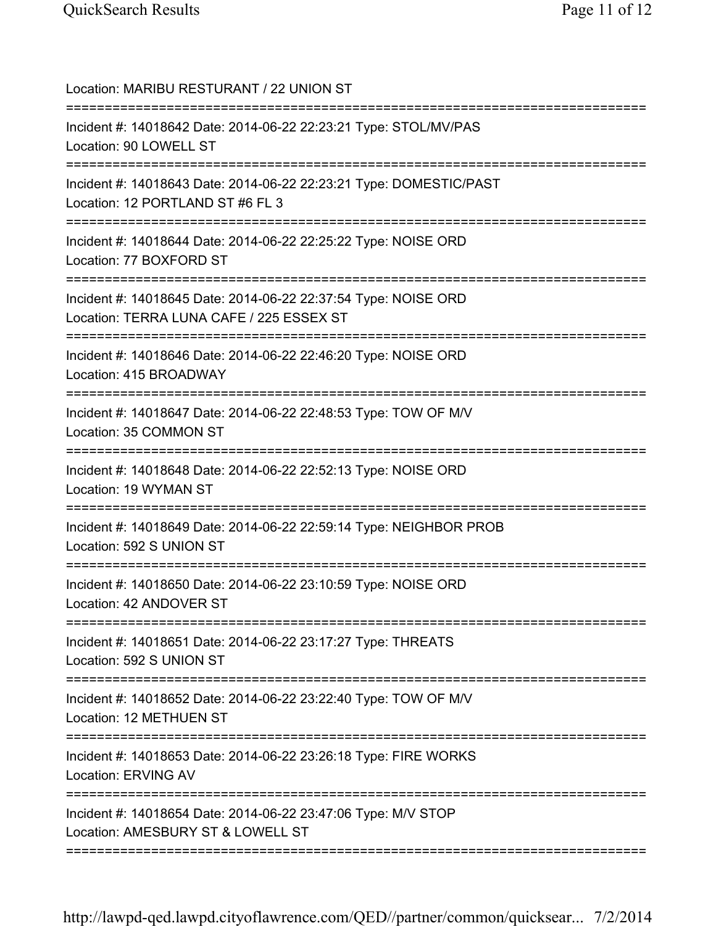| Location: MARIBU RESTURANT / 22 UNION ST                                                                                  |
|---------------------------------------------------------------------------------------------------------------------------|
| Incident #: 14018642 Date: 2014-06-22 22:23:21 Type: STOL/MV/PAS<br>Location: 90 LOWELL ST                                |
| Incident #: 14018643 Date: 2014-06-22 22:23:21 Type: DOMESTIC/PAST<br>Location: 12 PORTLAND ST #6 FL 3                    |
| Incident #: 14018644 Date: 2014-06-22 22:25:22 Type: NOISE ORD<br>Location: 77 BOXFORD ST                                 |
| Incident #: 14018645 Date: 2014-06-22 22:37:54 Type: NOISE ORD<br>Location: TERRA LUNA CAFE / 225 ESSEX ST                |
| Incident #: 14018646 Date: 2014-06-22 22:46:20 Type: NOISE ORD<br>Location: 415 BROADWAY                                  |
| Incident #: 14018647 Date: 2014-06-22 22:48:53 Type: TOW OF M/V<br>Location: 35 COMMON ST<br>============================ |
| Incident #: 14018648 Date: 2014-06-22 22:52:13 Type: NOISE ORD<br>Location: 19 WYMAN ST                                   |
| Incident #: 14018649 Date: 2014-06-22 22:59:14 Type: NEIGHBOR PROB<br>Location: 592 S UNION ST                            |
| Incident #: 14018650 Date: 2014-06-22 23:10:59 Type: NOISE ORD<br>Location: 42 ANDOVER ST                                 |
| Incident #: 14018651 Date: 2014-06-22 23:17:27 Type: THREATS<br>Location: 592 S UNION ST                                  |
| Incident #: 14018652 Date: 2014-06-22 23:22:40 Type: TOW OF M/V<br>Location: 12 METHUEN ST                                |
| Incident #: 14018653 Date: 2014-06-22 23:26:18 Type: FIRE WORKS<br>Location: ERVING AV                                    |
| Incident #: 14018654 Date: 2014-06-22 23:47:06 Type: M/V STOP<br>Location: AMESBURY ST & LOWELL ST                        |
|                                                                                                                           |